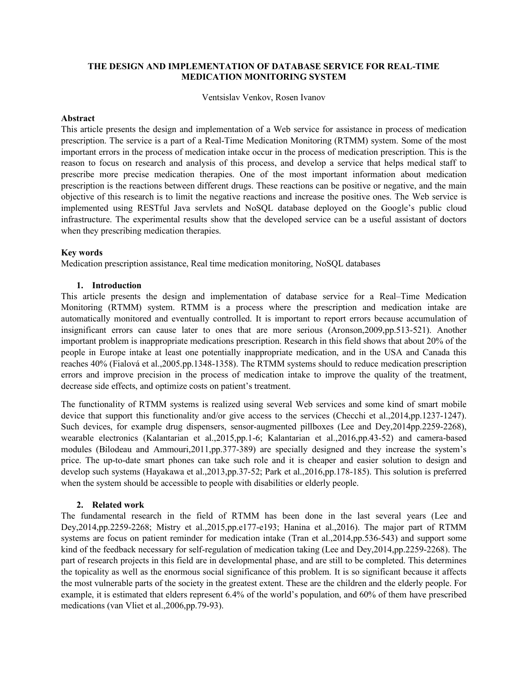## **THE DESIGN AND IMPLEMENTATION OF DATABASE SERVICE FOR REAL-TIME MEDICATION MONITORING SYSTEM**

Ventsislav Venkov, Rosen Ivanov

## **Abstract**

This article presents the design and implementation of a Web service for assistance in process of medication prescription. The service is a part of a Real-Time Medication Monitoring (RTMM) system. Some of the most important errors in the process of medication intake occur in the process of medication prescription. This is the reason to focus on research and analysis of this process, and develop a service that helps medical staff to prescribe more precise medication therapies. One of the most important information about medication prescription is the reactions between different drugs. These reactions can be positive or negative, and the main objective of this research is to limit the negative reactions and increase the positive ones. The Web service is implemented using RESTful Java servlets and NoSQL database deployed on the Google's public cloud infrastructure. The experimental results show that the developed service can be a useful assistant of doctors when they prescribing medication therapies.

# **Key words**

Medication prescription assistance, Real time medication monitoring, NoSQL databases

## **1. Introduction**

This article presents the design and implementation of database service for a Real–Time Medication Monitoring (RTMM) system. RTMM is a process where the prescription and medication intake are automatically monitored and eventually controlled. It is important to report errors because accumulation of insignificant errors can cause later to ones that are more serious (Aronson,2009,pp.513-521). Another important problem is inappropriate medications prescription. Research in this field shows that about 20% of the people in Europe intake at least one potentially inappropriate medication, and in the USA and Canada this reaches 40% (Fialová et al.,2005.pp.1348-1358). The RTMM systems should to reduce medication prescription errors and improve precision in the process of medication intake to improve the quality of the treatment, decrease side effects, and optimize costs on patient's treatment.

The functionality of RTMM systems is realized using several Web services and some kind of smart mobile device that support this functionality and/or give access to the services (Checchi et al., 2014,pp.1237-1247). Such devices, for example drug dispensers, sensor-augmented pillboxes (Lee and Dey,2014pp.2259-2268), wearable electronics (Kalantarian et al.,2015,pp.1-6; Kalantarian et al.,2016,pp.43-52) and camera-based modules (Bilodeau and Ammouri,2011,pp.377-389) are specially designed and they increase the system's price. The up-to-date smart phones can take such role and it is cheaper and easier solution to design and develop such systems (Hayakawa et al.,2013,pp.37-52; Park et al.,2016,pp.178-185). This solution is preferred when the system should be accessible to people with disabilities or elderly people.

# **2. Related work**

The fundamental research in the field of RTMM has been done in the last several years (Lee and Dey,2014,pp.2259-2268; Mistry et al.,2015,pp.e177-e193; Hanina et al.,2016). The major part of RTMM systems are focus on patient reminder for medication intake (Tran et al.,2014,pp.536-543) and support some kind of the feedback necessary for self-regulation of medication taking (Lee and Dey,2014,pp.2259-2268). The part of research projects in this field are in developmental phase, and are still to be completed. This determines the topicality as well as the enormous social significance of this problem. It is so significant because it affects the most vulnerable parts of the society in the greatest extent. These are the children and the elderly people. For example, it is estimated that elders represent 6.4% of the world's population, and 60% of them have prescribed medications (van Vliet et al.,2006,pp.79-93).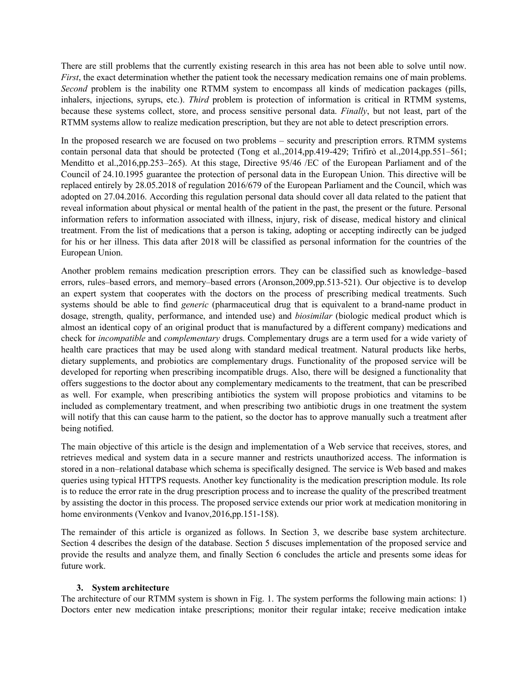There are still problems that the currently existing research in this area has not been able to solve until now. *First*, the exact determination whether the patient took the necessary medication remains one of main problems. *Second* problem is the inability one RTMM system to encompass all kinds of medication packages (pills, inhalers, injections, syrups, etc.). *Third* problem is protection of information is critical in RTMM systems, because these systems collect, store, and process sensitive personal data. *Finally*, but not least, part of the RTMM systems allow to realize medication prescription, but they are not able to detect prescription errors.

In the proposed research we are focused on two problems – security and prescription errors. RTMM systems contain personal data that should be protected (Tong et al.,2014,pp.419-429; Trifirò et al.,2014,pp.551–561; Menditto et al.,2016,pp.253–265). At this stage, Directive 95/46 /EC of the European Parliament and of the Council of 24.10.1995 guarantee the protection of personal data in the European Union. This directive will be replaced entirely by 28.05.2018 of regulation 2016/679 of the European Parliament and the Council, which was adopted on 27.04.2016. According this regulation personal data should cover all data related to the patient that reveal information about physical or mental health of the patient in the past, the present or the future. Personal information refers to information associated with illness, injury, risk of disease, medical history and clinical treatment. From the list of medications that a person is taking, adopting or accepting indirectly can be judged for his or her illness. This data after 2018 will be classified as personal information for the countries of the European Union.

Another problem remains medication prescription errors. They can be classified such as knowledge–based errors, rules–based errors, and memory–based errors (Aronson,2009,pp.513-521). Our objective is to develop an expert system that cooperates with the doctors on the process of prescribing medical treatments. Such systems should be able to find *generic* (pharmaceutical drug that is equivalent to a brand-name product in dosage, strength, quality, performance, and intended use) and *biosimilar* (biologic medical product which is almost an identical copy of an original product that is manufactured by a different company) medications and check for *incompatible* and *complementary* drugs. Complementary drugs are a term used for a wide variety of health care practices that may be used along with standard medical treatment. Natural products like herbs, dietary supplements, and probiotics are complementary drugs. Functionality of the proposed service will be developed for reporting when prescribing incompatible drugs. Also, there will be designed a functionality that offers suggestions to the doctor about any complementary medicaments to the treatment, that can be prescribed as well. For example, when prescribing antibiotics the system will propose probiotics and vitamins to be included as complementary treatment, and when prescribing two antibiotic drugs in one treatment the system will notify that this can cause harm to the patient, so the doctor has to approve manually such a treatment after being notified.

The main objective of this article is the design and implementation of a Web service that receives, stores, and retrieves medical and system data in a secure manner and restricts unauthorized access. The information is stored in a non–relational database which schema is specifically designed. The service is Web based and makes queries using typical HTTPS requests. Another key functionality is the medication prescription module. Its role is to reduce the error rate in the drug prescription process and to increase the quality of the prescribed treatment by assisting the doctor in this process. The proposed service extends our prior work at medication monitoring in home environments (Venkov and Ivanov, 2016, pp. 151-158).

The remainder of this article is organized as follows. In Section 3, we describe base system architecture. Section 4 describes the design of the database. Section 5 discuses implementation of the proposed service and provide the results and analyze them, and finally Section 6 concludes the article and presents some ideas for future work.

### **3. System architecture**

The architecture of our RTMM system is shown in Fig. 1. The system performs the following main actions: 1) Doctors enter new medication intake prescriptions; monitor their regular intake; receive medication intake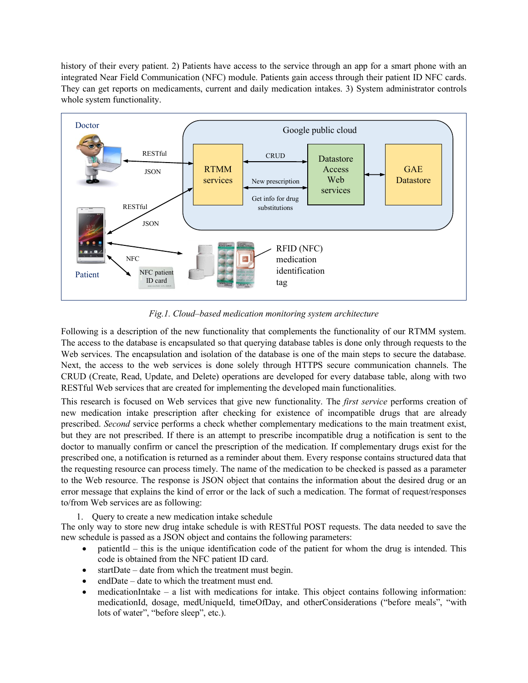history of their every patient. 2) Patients have access to the service through an app for a smart phone with an integrated Near Field Communication (NFC) module. Patients gain access through their patient ID NFC cards. They can get reports on medicaments, current and daily medication intakes. 3) System administrator controls whole system functionality.



*Fig.1. Cloud–based medication monitoring system architecture*

Following is a description of the new functionality that complements the functionality of our RTMM system. The access to the database is encapsulated so that querying database tables is done only through requests to the Web services. The encapsulation and isolation of the database is one of the main steps to secure the database. Next, the access to the web services is done solely through HTTPS secure communication channels. The CRUD (Create, Read, Update, and Delete) operations are developed for every database table, along with two RESTful Web services that are created for implementing the developed main functionalities.

This research is focused on Web services that give new functionality. The *first service* performs creation of new medication intake prescription after checking for existence of incompatible drugs that are already prescribed. *Second* service performs a check whether complementary medications to the main treatment exist, but they are not prescribed. If there is an attempt to prescribe incompatible drug a notification is sent to the doctor to manually confirm or cancel the prescription of the medication. If complementary drugs exist for the prescribed one, a notification is returned as a reminder about them. Every response contains structured data that the requesting resource can process timely. The name of the medication to be checked is passed as a parameter to the Web resource. The response is JSON object that contains the information about the desired drug or an error message that explains the kind of error or the lack of such a medication. The format of request/responses to/from Web services are as following:

1. Query to create a new medication intake schedule

The only way to store new drug intake schedule is with RESTful POST requests. The data needed to save the new schedule is passed as a JSON object and contains the following parameters:

- patientId this is the unique identification code of the patient for whom the drug is intended. This code is obtained from the NFC patient ID card.
- startDate date from which the treatment must begin.
- endDate date to which the treatment must end.
- medicationIntake a list with medications for intake. This object contains following information: medicationId, dosage, medUniqueId, timeOfDay, and otherConsiderations ("before meals", "with lots of water", "before sleep", etc.).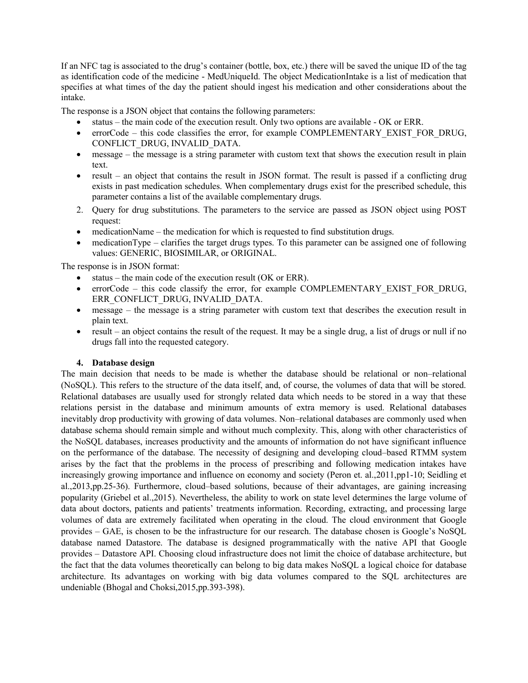If an NFC tag is associated to the drug's container (bottle, box, etc.) there will be saved the unique ID of the tag as identification code of the medicine - MedUniqueId. The object MedicationIntake is a list of medication that specifies at what times of the day the patient should ingest his medication and other considerations about the intake.

The response is a JSON object that contains the following parameters:

- status the main code of the execution result. Only two options are available OK or ERR.
- errorCode this code classifies the error, for example COMPLEMENTARY\_EXIST\_FOR\_DRUG, CONFLICT\_DRUG, INVALID\_DATA.
- message the message is a string parameter with custom text that shows the execution result in plain text.
- result an object that contains the result in JSON format. The result is passed if a conflicting drug exists in past medication schedules. When complementary drugs exist for the prescribed schedule, this parameter contains a list of the available complementary drugs.
- 2. Query for drug substitutions. The parameters to the service are passed as JSON object using POST request:
- medicationName the medication for which is requested to find substitution drugs.
- medicationType clarifies the target drugs types. To this parameter can be assigned one of following values: GENERIC, BIOSIMILAR, or ORIGINAL.

The response is in JSON format:

- status the main code of the execution result (OK or ERR).
- errorCode this code classify the error, for example COMPLEMENTARY\_EXIST\_FOR\_DRUG, ERR\_CONFLICT\_DRUG, INVALID\_DATA.
- message the message is a string parameter with custom text that describes the execution result in plain text.
- result an object contains the result of the request. It may be a single drug, a list of drugs or null if no drugs fall into the requested category.

### **4. Database design**

The main decision that needs to be made is whether the database should be relational or non–relational (NoSQL). This refers to the structure of the data itself, and, of course, the volumes of data that will be stored. Relational databases are usually used for strongly related data which needs to be stored in a way that these relations persist in the database and minimum amounts of extra memory is used. Relational databases inevitably drop productivity with growing of data volumes. Non–relational databases are commonly used when database schema should remain simple and without much complexity. This, along with other characteristics of the NoSQL databases, increases productivity and the amounts of information do not have significant influence on the performance of the database. The necessity of designing and developing cloud–based RTMM system arises by the fact that the problems in the process of prescribing and following medication intakes have increasingly growing importance and influence on economy and society (Peron et. al.,2011,pp1-10; Seidling et al.,2013,pp.25-36). Furthermore, cloud–based solutions, because of their advantages, are gaining increasing popularity (Griebel et al.,2015). Nevertheless, the ability to work on state level determines the large volume of data about doctors, patients and patients' treatments information. Recording, extracting, and processing large volumes of data are extremely facilitated when operating in the cloud. The cloud environment that Google provides – GAE, is chosen to be the infrastructure for our research. The database chosen is Google's NoSQL database named Datastore. The database is designed programmatically with the native API that Google provides – Datastore API. Choosing cloud infrastructure does not limit the choice of database architecture, but the fact that the data volumes theoretically can belong to big data makes NoSQL a logical choice for database architecture. Its advantages on working with big data volumes compared to the SQL architectures are undeniable (Bhogal and Choksi,2015,pp.393-398).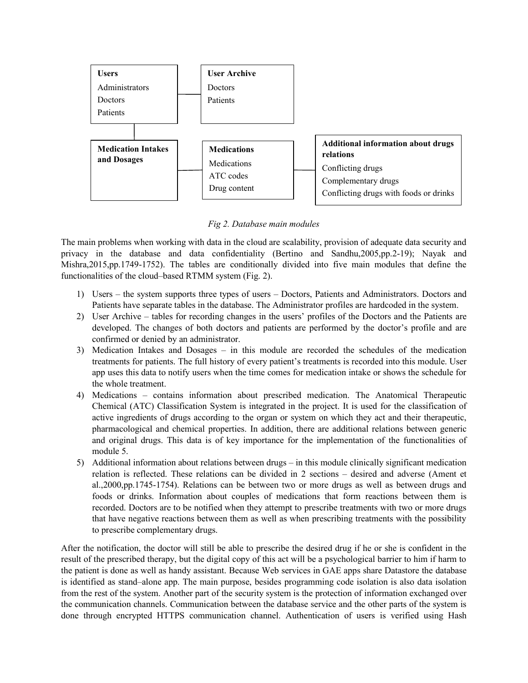

*Fig 2. Database main modules*

The main problems when working with data in the cloud are scalability, provision of adequate data security and privacy in the database and data confidentiality (Bertino and Sandhu,2005,pp.2-19); Nayak and Mishra,2015,pp.1749-1752). The tables are conditionally divided into five main modules that define the functionalities of the cloud–based RTMM system (Fig. 2).

- 1) Users the system supports three types of users Doctors, Patients and Administrators. Doctors and Patients have separate tables in the database. The Administrator profiles are hardcoded in the system.
- 2) User Archive tables for recording changes in the users' profiles of the Doctors and the Patients are developed. The changes of both doctors and patients are performed by the doctor's profile and are confirmed or denied by an administrator.
- 3) Medication Intakes and Dosages in this module are recorded the schedules of the medication treatments for patients. The full history of every patient's treatments is recorded into this module. User app uses this data to notify users when the time comes for medication intake or shows the schedule for the whole treatment.
- 4) Medications contains information about prescribed medication. The Anatomical Therapeutic Chemical (ATC) Classification System is integrated in the project. It is used for the classification of active ingredients of drugs according to the organ or system on which they act and their therapeutic, pharmacological and chemical properties. In addition, there are additional relations between generic and original drugs. This data is of key importance for the implementation of the functionalities of module 5.
- 5) Additional information about relations between drugs in this module clinically significant medication relation is reflected. These relations can be divided in 2 sections – desired and adverse (Ament et al.,2000,pp.1745-1754). Relations can be between two or more drugs as well as between drugs and foods or drinks. Information about couples of medications that form reactions between them is recorded. Doctors are to be notified when they attempt to prescribe treatments with two or more drugs that have negative reactions between them as well as when prescribing treatments with the possibility to prescribe complementary drugs.

After the notification, the doctor will still be able to prescribe the desired drug if he or she is confident in the result of the prescribed therapy, but the digital copy of this act will be a psychological barrier to him if harm to the patient is done as well as handy assistant. Because Web services in GAE apps share Datastore the database is identified as stand–alone app. The main purpose, besides programming code isolation is also data isolation from the rest of the system. Another part of the security system is the protection of information exchanged over the communication channels. Communication between the database service and the other parts of the system is done through encrypted HTTPS communication channel. Authentication of users is verified using Hash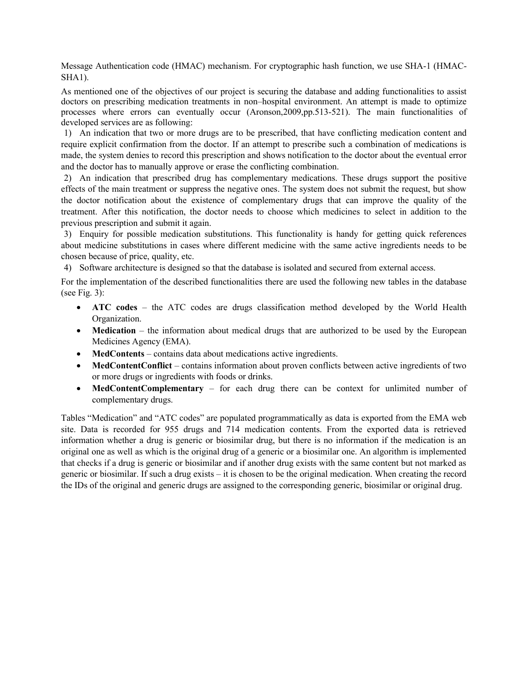Message Authentication code (HMAC) mechanism. For cryptographic hash function, we use SHA-1 (HMAC-SHA<sub>1</sub>).

As mentioned one of the objectives of our project is securing the database and adding functionalities to assist doctors on prescribing medication treatments in non–hospital environment. An attempt is made to optimize processes where errors can eventually occur (Aronson,2009,pp.513-521). The main functionalities of developed services are as following:

1) An indication that two or more drugs are to be prescribed, that have conflicting medication content and require explicit confirmation from the doctor. If an attempt to prescribe such a combination of medications is made, the system denies to record this prescription and shows notification to the doctor about the eventual error and the doctor has to manually approve or erase the conflicting combination.

2) An indication that prescribed drug has complementary medications. These drugs support the positive effects of the main treatment or suppress the negative ones. The system does not submit the request, but show the doctor notification about the existence of complementary drugs that can improve the quality of the treatment. After this notification, the doctor needs to choose which medicines to select in addition to the previous prescription and submit it again.

3) Enquiry for possible medication substitutions. This functionality is handy for getting quick references about medicine substitutions in cases where different medicine with the same active ingredients needs to be chosen because of price, quality, etc.

4) Software architecture is designed so that the database is isolated and secured from external access.

For the implementation of the described functionalities there are used the following new tables in the database (see Fig. 3):

- **ATC codes** the ATC codes are drugs classification method developed by the World Health Organization.
- **Medication** the information about medical drugs that are authorized to be used by the European Medicines Agency (EMA).
- **MedContents** contains data about medications active ingredients.
- **MedContentConflict** contains information about proven conflicts between active ingredients of two or more drugs or ingredients with foods or drinks.
- **MedContentComplementary** for each drug there can be context for unlimited number of complementary drugs.

Tables "Medication" and "ATC codes" are populated programmatically as data is exported from the EMA web site. Data is recorded for 955 drugs and 714 medication contents. From the exported data is retrieved information whether a drug is generic or biosimilar drug, but there is no information if the medication is an original one as well as which is the original drug of a generic or a biosimilar one. An algorithm is implemented that checks if a drug is generic or biosimilar and if another drug exists with the same content but not marked as generic or biosimilar. If such a drug exists – it is chosen to be the original medication. When creating the record the IDs of the original and generic drugs are assigned to the corresponding generic, biosimilar or original drug.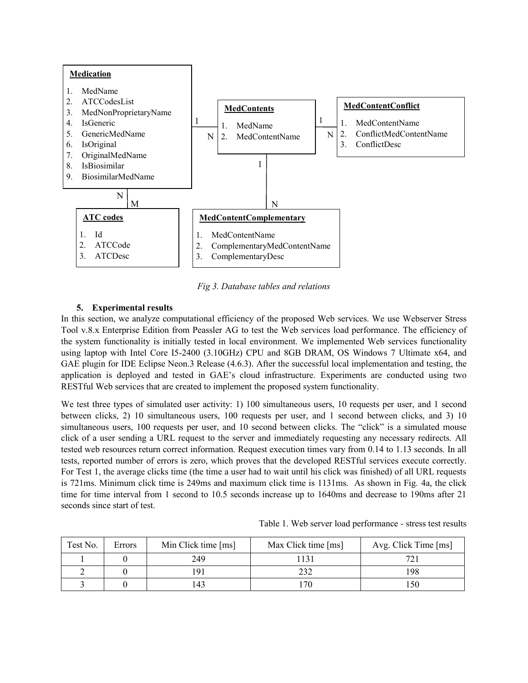

*Fig 3. Database tables and relations* 

# **5. Experimental results**

In this section, we analyze computational efficiency of the proposed Web services. We use Webserver Stress Tool v.8.x Enterprise Edition from Peassler AG to test the Web services load performance. The efficiency of the system functionality is initially tested in local environment. We implemented Web services functionality using laptop with Intel Core I5-2400 (3.10GHz) CPU and 8GB DRAM, OS Windows 7 Ultimate x64, and GAE plugin for IDE Eclipse Neon.3 Release (4.6.3). After the successful local implementation and testing, the application is deployed and tested in GAE's cloud infrastructure. Experiments are conducted using two RESTful Web services that are created to implement the proposed system functionality.

We test three types of simulated user activity: 1) 100 simultaneous users, 10 requests per user, and 1 second between clicks, 2) 10 simultaneous users, 100 requests per user, and 1 second between clicks, and 3) 10 simultaneous users, 100 requests per user, and 10 second between clicks. The "click" is a simulated mouse click of a user sending a URL request to the server and immediately requesting any necessary redirects. All tested web resources return correct information. Request execution times vary from 0.14 to 1.13 seconds. In all tests, reported number of errors is zero, which proves that the developed RESTful services execute correctly. For Test 1, the average clicks time (the time a user had to wait until his click was finished) of all URL requests is 721ms. Minimum click time is 249ms and maximum click time is 1131ms. As shown in Fig. 4a, the click time for time interval from 1 second to 10.5 seconds increase up to 1640ms and decrease to 190ms after 21 seconds since start of test.

Table 1. Web server load performance - stress test results

| Test No. | Errors | Min Click time [ms] | Max Click time [ms] | Avg. Click Time [ms] |
|----------|--------|---------------------|---------------------|----------------------|
|          |        | 249                 | 1131                |                      |
|          |        |                     |                     | 98                   |
|          |        |                     | -70                 |                      |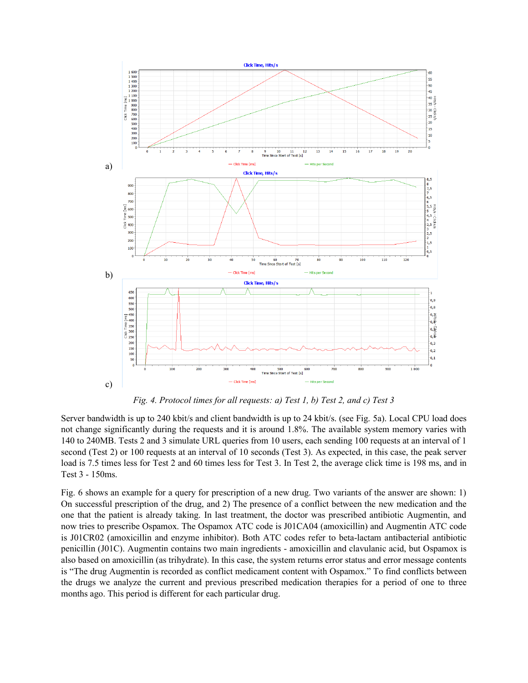

*Fig. 4. Protocol times for all requests: a) Test 1, b) Test 2, and c) Test 3*

Server bandwidth is up to 240 kbit/s and client bandwidth is up to 24 kbit/s. (see Fig. 5a). Local CPU load does not change significantly during the requests and it is around 1.8%. The available system memory varies with 140 to 240MB. Tests 2 and 3 simulate URL queries from 10 users, each sending 100 requests at an interval of 1 second (Test 2) or 100 requests at an interval of 10 seconds (Test 3). As expected, in this case, the peak server load is 7.5 times less for Test 2 and 60 times less for Test 3. In Test 2, the average click time is 198 ms, and in Test 3 - 150ms.

Fig. 6 shows an example for a query for prescription of a new drug. Two variants of the answer are shown: 1) On successful prescription of the drug, and 2) The presence of a conflict between the new medication and the one that the patient is already taking. In last treatment, the doctor was prescribed antibiotic Augmentin, and now tries to prescribe Ospamox. The Ospamox ATC code is J01CA04 (amoxicillin) and Augmentin ATC code is J01CR02 (amoxicillin and enzyme inhibitor). Both ATC codes refer to beta-lactam antibacterial antibiotic penicillin (J01C). Augmentin contains two main ingredients - amoxicillin and clavulanic acid, but Ospamox is also based on amoxicillin (as trihydrate). In this case, the system returns error status and error message contents is "The drug Augmentin is recorded as conflict medicament content with Ospamox." To find conflicts between the drugs we analyze the current and previous prescribed medication therapies for a period of one to three months ago. This period is different for each particular drug.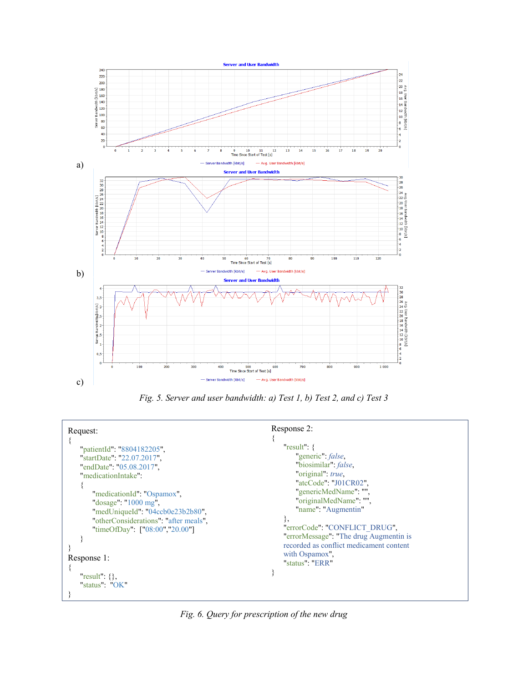

*Fig. 5. Server and user bandwidth: a) Test 1, b) Test 2, and c) Test 3*



*Fig. 6. Query for prescription of the new drug*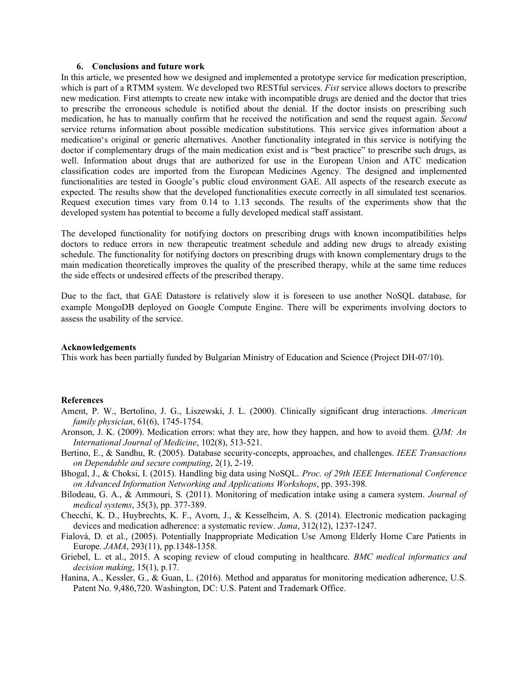#### **6. Conclusions and future work**

In this article, we presented how we designed and implemented a prototype service for medication prescription, which is part of a RTMM system. We developed two RESTful services. *Fist* service allows doctors to prescribe new medication. First attempts to create new intake with incompatible drugs are denied and the doctor that tries to prescribe the erroneous schedule is notified about the denial. If the doctor insists on prescribing such medication, he has to manually confirm that he received the notification and send the request again. *Second* service returns information about possible medication substitutions. This service gives information about a medication's original or generic alternatives. Another functionality integrated in this service is notifying the doctor if complementary drugs of the main medication exist and is "best practice" to prescribe such drugs, as well. Information about drugs that are authorized for use in the European Union and ATC medication classification codes are imported from the European Medicines Agency. The designed and implemented functionalities are tested in Google's public cloud environment GAE. All aspects of the research execute as expected. The results show that the developed functionalities execute correctly in all simulated test scenarios. Request execution times vary from 0.14 to 1.13 seconds. The results of the experiments show that the developed system has potential to become a fully developed medical staff assistant.

The developed functionality for notifying doctors on prescribing drugs with known incompatibilities helps doctors to reduce errors in new therapeutic treatment schedule and adding new drugs to already existing schedule. The functionality for notifying doctors on prescribing drugs with known complementary drugs to the main medication theoretically improves the quality of the prescribed therapy, while at the same time reduces the side effects or undesired effects of the prescribed therapy.

Due to the fact, that GAE Datastore is relatively slow it is foreseen to use another NoSQL database, for example MongoDB deployed on Google Compute Engine. There will be experiments involving doctors to assess the usability of the service.

#### **Acknowledgements**

This work has been partially funded by Bulgarian Ministry of Education and Science (Project DH-07/10).

#### **References**

- Ament, P. W., Bertolino, J. G., Liszewski, J. L. (2000). Clinically significant drug interactions. *American family physician*, 61(6), 1745-1754.
- Aronson, J. K. (2009). Medication errors: what they are, how they happen, and how to avoid them. *QJM: An International Journal of Medicine*, 102(8), 513-521.
- Bertino, E., & Sandhu, R. (2005). Database security-concepts, approaches, and challenges. *IEEE Transactions on Dependable and secure computing*, 2(1), 2-19.
- Bhogal, J., & Choksi, I. (2015). Handling big data using NoSQL. *Proc. of 29th IEEE International Conference on Advanced Information Networking and Applications Workshops*, pp. 393-398.
- Bilodeau, G. A., & Ammouri, S. (2011). Monitoring of medication intake using a camera system. *Journal of medical systems*, 35(3), pp. 377-389.
- Checchi, K. D., Huybrechts, K. F., Avorn, J., & Kesselheim, A. S. (2014). Electronic medication packaging devices and medication adherence: a systematic review. *Jama*, 312(12), 1237-1247.
- Fialová, D. et al., (2005). Potentially Inappropriate Medication Use Among Elderly Home Care Patients in Europe. *JAMA*, 293(11), pp.1348-1358.
- Griebel, L. et al., 2015. A scoping review of cloud computing in healthcare. *BMC medical informatics and decision making*, 15(1), p.17.
- Hanina, A., Kessler, G., & Guan, L. (2016). Method and apparatus for monitoring medication adherence, U.S. Patent No. 9,486,720. Washington, DC: U.S. Patent and Trademark Office.